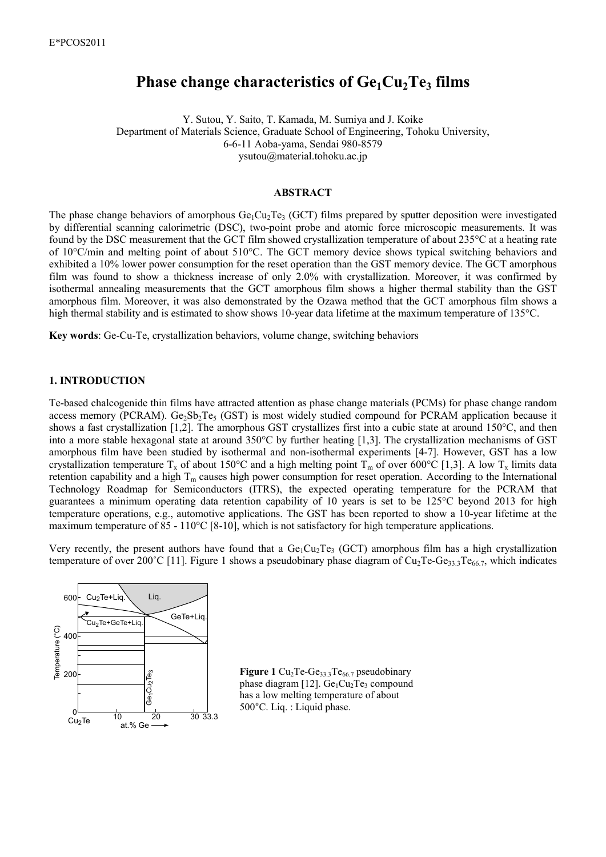# **Phase change characteristics of Ge1Cu2Te3 films**

Y. Sutou, Y. Saito, T. Kamada, M. Sumiya and J. Koike Department of Materials Science, Graduate School of Engineering, Tohoku University, 6-6-11 Aoba-yama, Sendai 980-8579 ysutou@material.tohoku.ac.jp

#### **ABSTRACT**

The phase change behaviors of amorphous  $Ge_1Cu_2Te_3$  (GCT) films prepared by sputter deposition were investigated by differential scanning calorimetric (DSC), two-point probe and atomic force microscopic measurements. It was found by the DSC measurement that the GCT film showed crystallization temperature of about 235°C at a heating rate of 10°C/min and melting point of about 510°C. The GCT memory device shows typical switching behaviors and exhibited a 10% lower power consumption for the reset operation than the GST memory device. The GCT amorphous film was found to show a thickness increase of only 2.0% with crystallization. Moreover, it was confirmed by isothermal annealing measurements that the GCT amorphous film shows a higher thermal stability than the GST amorphous film. Moreover, it was also demonstrated by the Ozawa method that the GCT amorphous film shows a high thermal stability and is estimated to show shows 10-year data lifetime at the maximum temperature of 135°C.

**Key words**: Ge-Cu-Te, crystallization behaviors, volume change, switching behaviors

# **1. INTRODUCTION**

Te-based chalcogenide thin films have attracted attention as phase change materials (PCMs) for phase change random access memory (PCRAM).  $Ge_2Sb_2Te_5$  (GST) is most widely studied compound for PCRAM application because it shows a fast crystallization [1,2]. The amorphous GST crystallizes first into a cubic state at around 150°C, and then into a more stable hexagonal state at around 350°C by further heating [1,3]. The crystallization mechanisms of GST amorphous film have been studied by isothermal and non-isothermal experiments [4-7]. However, GST has a low crystallization temperature T<sub>x</sub> of about 150°C and a high melting point T<sub>m</sub> of over 600°C [1,3]. A low T<sub>x</sub> limits data retention capability and a high  $T_m$  causes high power consumption for reset operation. According to the International Technology Roadmap for Semiconductors (ITRS), the expected operating temperature for the PCRAM that guarantees a minimum operating data retention capability of 10 years is set to be 125°C beyond 2013 for high temperature operations, e.g., automotive applications. The GST has been reported to show a 10-year lifetime at the maximum temperature of 85 - 110°C [8-10], which is not satisfactory for high temperature applications.

Very recently, the present authors have found that a  $Ge_1Cu_2Te_3$  (GCT) amorphous film has a high crystallization temperature of over 200°C [11]. Figure 1 shows a pseudobinary phase diagram of  $Cu_2Te-Ge_{33.3}Te_{66.7}$ , which indicates



Figure 1 Cu<sub>2</sub>Te-Ge<sub>33.3</sub>Te<sub>66.7</sub> pseudobinary phase diagram [12].  $Ge<sub>1</sub>Cu<sub>2</sub>Te<sub>3</sub>$  compound has a low melting temperature of about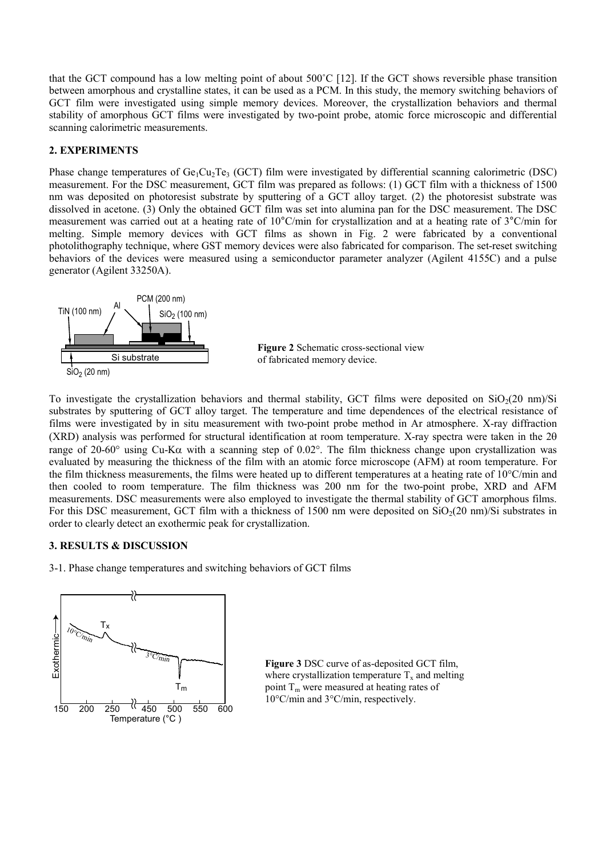that the GCT compound has a low melting point of about 500˚C [12]. If the GCT shows reversible phase transition between amorphous and crystalline states, it can be used as a PCM. In this study, the memory switching behaviors of GCT film were investigated using simple memory devices. Moreover, the crystallization behaviors and thermal stability of amorphous GCT films were investigated by two-point probe, atomic force microscopic and differential scanning calorimetric measurements.

# **2. EXPERIMENTS**

Phase change temperatures of  $Ge_1Cu_2Te_3$  (GCT) film were investigated by differential scanning calorimetric (DSC) measurement. For the DSC measurement, GCT film was prepared as follows: (1) GCT film with a thickness of 1500 nm was deposited on photoresist substrate by sputtering of a GCT alloy target. (2) the photoresist substrate was dissolved in acetone. (3) Only the obtained GCT film was set into alumina pan for the DSC measurement. The DSC measurement was carried out at a heating rate of 10°C/min for crystallization and at a heating rate of 3°C/min for melting. Simple memory devices with GCT films as shown in Fig. 2 were fabricated by a conventional photolithography technique, where GST memory devices were also fabricated for comparison. The set-reset switching behaviors of the devices were measured using a semiconductor parameter analyzer (Agilent 4155C) and a pulse generator (Agilent 33250A).



**Figure 2** Schematic cross-sectional view of fabricated memory device.

To investigate the crystallization behaviors and thermal stability, GCT films were deposited on  $SiO<sub>2</sub>(20 \text{ nm})/Si$ substrates by sputtering of GCT alloy target. The temperature and time dependences of the electrical resistance of films were investigated by in situ measurement with two-point probe method in Ar atmosphere. X-ray diffraction (XRD) analysis was performed for structural identification at room temperature. X-ray spectra were taken in the 2θ range of 20-60° using Cu-K $\alpha$  with a scanning step of 0.02°. The film thickness change upon crystallization was evaluated by measuring the thickness of the film with an atomic force microscope (AFM) at room temperature. For the film thickness measurements, the films were heated up to different temperatures at a heating rate of 10°C/min and then cooled to room temperature. The film thickness was 200 nm for the two-point probe, XRD and AFM measurements. DSC measurements were also employed to investigate the thermal stability of GCT amorphous films. For this DSC measurement, GCT film with a thickness of 1500 nm were deposited on  $SiO<sub>2</sub>(20 \text{ nm})/Si$  substrates in order to clearly detect an exothermic peak for crystallization.

## **3. RESULTS & DISCUSSION**

3-1. Phase change temperatures and switching behaviors of GCT films



**Figure 3** DSC curve of as-deposited GCT film, where crystallization temperature  $T_x$  and melting point  $T_m$  were measured at heating rates of 10°C/min and 3°C/min, respectively.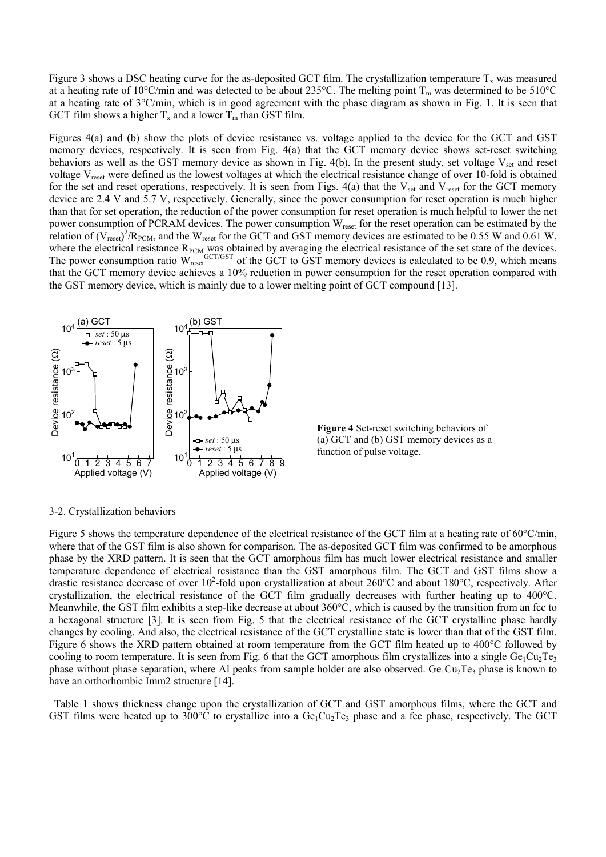Figure 3 shows a DSC heating curve for the as-deposited GCT film. The crystallization temperature  $T_x$  was measured at a heating rate of 10°C/min and was detected to be about 235°C. The melting point  $T_m$  was determined to be 510°C at a heating rate of 3°C/min, which is in good agreement with the phase diagram as shown in Fig. 1. It is seen that GCT film shows a higher  $T_x$  and a lower  $T_m$  than GST film.

Figures 4(a) and (b) show the plots of device resistance vs. voltage applied to the device for the GCT and GST memory devices, respectively. It is seen from Fig. 4(a) that the GCT memory device shows set-reset switching behaviors as well as the GST memory device as shown in Fig.  $4(b)$ . In the present study, set voltage  $V_{\text{set}}$  and reset voltage V<sub>reset</sub> were defined as the lowest voltages at which the electrical resistance change of over 10-fold is obtained for the set and reset operations, respectively. It is seen from Figs.  $4(a)$  that the V<sub>set</sub> and V<sub>reset</sub> for the GCT memory device are 2.4 V and 5.7 V, respectively. Generally, since the power consumption for reset operation is much higher than that for set operation, the reduction of the power consumption for reset operation is much helpful to lower the net power consumption of PCRAM devices. The power consumption W<sub>reset</sub> for the reset operation can be estimated by the relation of  $(V_{reset})^2/R_{PCM}$ , and the W<sub>reset</sub> for the GCT and GST memory devices are estimated to be 0.55 W and 0.61 W, where the electrical resistance  $R_{\text{PCM}}$  was obtained by averaging the electrical resistance of the set state of the devices. The power consumption ratio  $W_{reset}^{GCT/GST}$  of the GCT to GST memory devices is calculated to be 0.9, which means that the GCT memory device achieves a 10% reduction in power consumption for the reset operation compared with the GST memory device, which is mainly due to a lower melting point of GCT compound [13].



**Figure 4** Set-reset switching behaviors of (a) GCT and (b) GST memory devices as a function of pulse voltage.

## 3-2. Crystallization behaviors

Figure 5 shows the temperature dependence of the electrical resistance of the GCT film at a heating rate of 60 $\degree$ C/min, where that of the GST film is also shown for comparison. The as-deposited GCT film was confirmed to be amorphous phase by the XRD pattern. It is seen that the GCT amorphous film has much lower electrical resistance and smaller temperature dependence of electrical resistance than the GST amorphous film. The GCT and GST films show a drastic resistance decrease of over  $10^2$ -fold upon crystallization at about 260°C and about 180°C, respectively. After crystallization, the electrical resistance of the GCT film gradually decreases with further heating up to 400°C. Meanwhile, the GST film exhibits a step-like decrease at about 360°C, which is caused by the transition from an fcc to a hexagonal structure [3]. It is seen from Fig. 5 that the electrical resistance of the GCT crystalline phase hardly changes by cooling. And also, the electrical resistance of the GCT crystalline state is lower than that of the GST film. Figure 6 shows the XRD pattern obtained at room temperature from the GCT film heated up to 400°C followed by cooling to room temperature. It is seen from Fig. 6 that the GCT amorphous film crystallizes into a single  $Ge_1Cu_2Te_3$ phase without phase separation, where Al peaks from sample holder are also observed.  $Ge_1Cu_2Te_3$  phase is known to have an orthorhombic Imm2 structure [14]. Governmental three heating the control of the set of the CCT and GST amorphous films were heated up to 300°C to crystallization of GCT and GST amorphous films, where the GCT Device respectively. The GCT Device that is the

Table 1 shows thickness change upon the crystallization of GCT and GST amorphous films, where the GCT and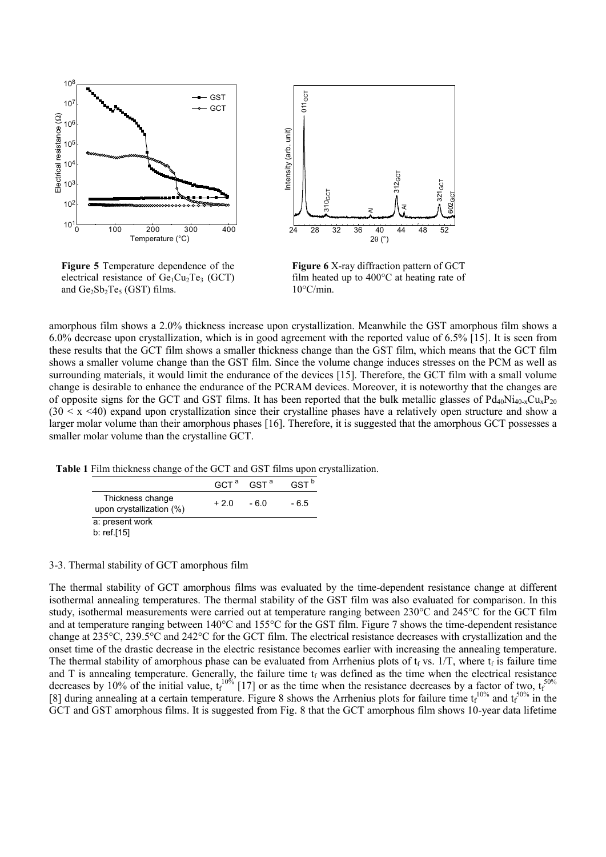

**Figure 5** Temperature dependence of the electrical resistance of  $Ge<sub>1</sub>Cu<sub>2</sub>Te<sub>3</sub>$  (GCT) and  $Ge_2Sb_2Te_5$  (GST) films.



**Figure 6** X-ray diffraction pattern of GCT film heated up to 400°C at heating rate of 10°C/min.

amorphous film shows a 2.0% thickness increase upon crystallization. Meanwhile the GST amorphous film shows a 6.0% decrease upon crystallization, which is in good agreement with the reported value of 6.5% [15]. It is seen from these results that the GCT film shows a smaller thickness change than the GST film, which means that the GCT film shows a smaller volume change than the GST film. Since the volume change induces stresses on the PCM as well as surrounding materials, it would limit the endurance of the devices [15]. Therefore, the GCT film with a small volume change is desirable to enhance the endurance of the PCRAM devices. Moreover, it is noteworthy that the changes are of opposite signs for the GCT and GST films. It has been reported that the bulk metallic glasses of  $Pd_{40}Ni_{40-x}Cu_{x}P_{20}$  $(30 \le x \le 40)$  expand upon crystallization since their crystalline phases have a relatively open structure and show a larger molar volume than their amorphous phases [16]. Therefore, it is suggested that the amorphous GCT possesses a smaller molar volume than the crystalline GCT.

**Table 1** Film thickness change of the GCT and GST films upon crystallization.

|                                              |              | $GCT^a$ $GST^a$ | GST <sup>b</sup> |
|----------------------------------------------|--------------|-----------------|------------------|
| Thickness change<br>upon crystallization (%) | $+2.0 - 6.0$ |                 | - 6.5            |
| a: present work                              |              |                 |                  |
| b: ref.[15]                                  |              |                 |                  |

#### 3-3. Thermal stability of GCT amorphous film

The thermal stability of GCT amorphous films was evaluated by the time-dependent resistance change at different isothermal annealing temperatures. The thermal stability of the GST film was also evaluated for comparison. In this study, isothermal measurements were carried out at temperature ranging between 230°C and 245°C for the GCT film and at temperature ranging between 140°C and 155°C for the GST film. Figure 7 shows the time-dependent resistance change at 235°C, 239.5°C and 242°C for the GCT film. The electrical resistance decreases with crystallization and the onset time of the drastic decrease in the electric resistance becomes earlier with increasing the annealing temperature. The thermal stability of amorphous phase can be evaluated from Arrhenius plots of  $t_f$  vs. 1/T, where  $t_f$  is failure time and T is annealing temperature. Generally, the failure time  $t_f$  was defined as the time when the electrical resistance decreases by 10% of the initial value,  $t_f^{10\%}$  [17] or as the time when the resistance decreases by a factor of two,  $t_f^{50\%}$ [8] during annealing at a certain temperature. Figure 8 shows the Arrhenius plots for failure time  $t_f^{10\%}$  and  $t_f^{50\%}$  in the GCT and GST amorphous films. It is suggested from Fig. 8 that the GCT amorphous film shows 10-year data lifetime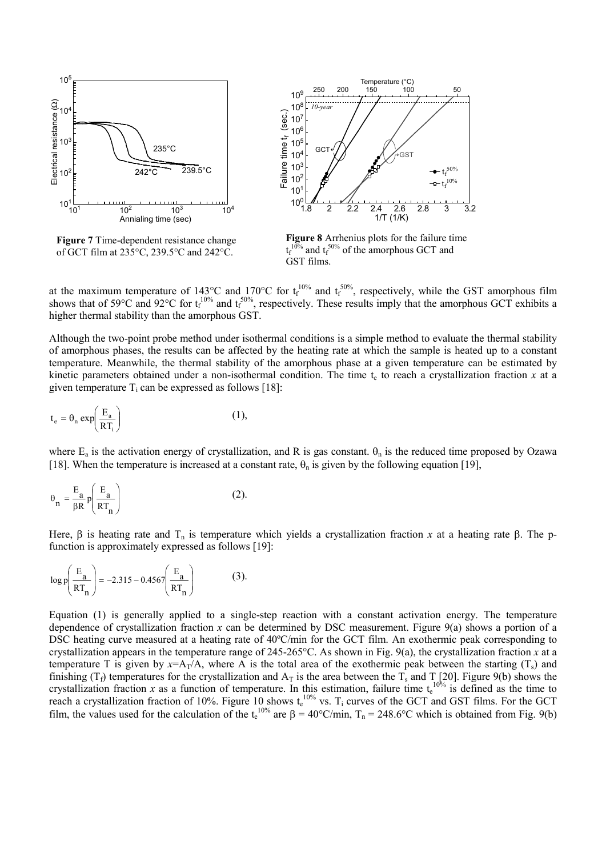

**Figure 7** Time-dependent resistance change of GCT film at 235°C, 239.5°C and 242°C.



**Figure 8** Arrhenius plots for the failure time  $t_f^{10}$  $10\%$  and  $t_f^{50\%}$  of the amorphous GCT and GST films.

at the maximum temperature of 143<sup>o</sup>C and 170<sup>o</sup>C for  $t_f^{10\%}$  and  $t_f^{50\%}$ , respectively, while the GST amorphous film shows that of 59 $^{\circ}$ C and 92 $^{\circ}$ C for  $t_f^{10\%}$  and  $t_f^{50\%}$ , respectively. These results imply that the amorphous GCT exhibits a higher thermal stability than the amorphous GST.

Although the two-point probe method under isothermal conditions is a simple method to evaluate the thermal stability of amorphous phases, the results can be affected by the heating rate at which the sample is heated up to a constant temperature. Meanwhile, the thermal stability of the amorphous phase at a given temperature can be estimated by kinetic parameters obtained under a non-isothermal condition. The time  $t_e$  to reach a crystallization fraction  $x$  at a given temperature  $T_i$  can be expressed as follows [18]:

$$
t_e = \theta_n \exp\left(\frac{E_a}{RT_i}\right) \tag{1}
$$

where  $E_a$  is the activation energy of crystallization, and R is gas constant.  $\theta_n$  is the reduced time proposed by Ozawa [18]. When the temperature is increased at a constant rate,  $\theta_n$  is given by the following equation [19],

$$
\theta_n = \frac{E_a}{\beta R} p \left( \frac{E_a}{RT_n} \right)
$$
 (2).

Here, β is heating rate and T<sub>n</sub> is temperature which yields a crystallization fraction *x* at a heating rate β. The pfunction is approximately expressed as follows [19]:

$$
\log p \left( \frac{\mathrm{E}_a}{\mathrm{RT}_n} \right) = -2.315 - 0.4567 \left( \frac{\mathrm{E}_a}{\mathrm{RT}_n} \right) \tag{3}.
$$

Equation (1) is generally applied to a single-step reaction with a constant activation energy. The temperature dependence of crystallization fraction *x* can be determined by DSC measurement. Figure 9(a) shows a portion of a DSC heating curve measured at a heating rate of 40ºC/min for the GCT film. An exothermic peak corresponding to crystallization appears in the temperature range of 245-265 $^{\circ}$ C. As shown in Fig. 9(a), the crystallization fraction *x* at a temperature T is given by  $x = A_T/A$ , where A is the total area of the exothermic peak between the starting  $(T_s)$  and finishing ( $T_f$ ) temperatures for the crystallization and  $A_T$  is the area between the  $T_s$  and  $T_{12}$ [20]. Figure 9(b) shows the crystallization fraction x as a function of temperature. In this estimation, failure time t<sub>e</sub><sup>10%</sup> is defined as the time to reach a crystallization fraction of 10%. Figure 10 shows  $t_e^{10\%}$  vs. T<sub>i</sub> curves of the GCT and GST films. For the GCT film, the values used for the calculation of the  $t_e^{10\%}$  are β = 40°C/min, T<sub>n</sub> = 248.6°C which is obtained from Fig. 9(b)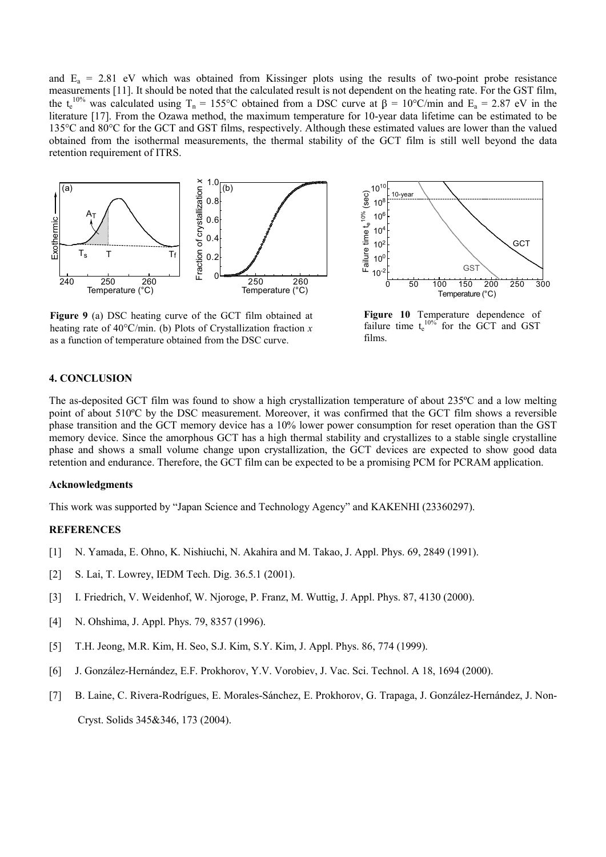and  $E_a = 2.81$  eV which was obtained from Kissinger plots using the results of two-point probe resistance measurements [11]. It should be noted that the calculated result is not dependent on the heating rate. For the GST film, the t<sub>e</sub><sup>10%</sup> was calculated using T<sub>n</sub> = 155°C obtained from a DSC curve at  $\beta = 10$ °C/min and E<sub>a</sub> = 2.87 eV in the literature [17]. From the Ozawa method, the maximum temperature for 10-year data lifetime can be estimated to be 135°C and 80°C for the GCT and GST films, respectively. Although these estimated values are lower than the valued obtained from the isothermal measurements, the thermal stability of the GCT film is still well beyond the data retention requirement of ITRS.



 $10^{10}$ Failure time  $t_e^{10\%}$  (sec) Failure time  $t_e^{10\%}$  (sec) 10-year 10<sup>8</sup>  $10^6$  $10<sup>4</sup>$ **GCT**  $10<sup>2</sup>$  $10<sup>0</sup>$ GS  $10^{-2}$ 0 50 100 150 200 250 300 Temperature (°C)

**Figure 9** (a) DSC heating curve of the GCT film obtained at heating rate of 40°C/min. (b) Plots of Crystallization fraction *x* as a function of temperature obtained from the DSC curve.

**Figure 10** Temperature dependence of failure time  $t_e^{10\%}$  for the GCT and GST films.

# **4. CONCLUSION**

The as-deposited GCT film was found to show a high crystallization temperature of about 235ºC and a low melting point of about 510ºC by the DSC measurement. Moreover, it was confirmed that the GCT film shows a reversible phase transition and the GCT memory device has a 10% lower power consumption for reset operation than the GST memory device. Since the amorphous GCT has a high thermal stability and crystallizes to a stable single crystalline phase and shows a small volume change upon crystallization, the GCT devices are expected to show good data retention and endurance. Therefore, the GCT film can be expected to be a promising PCM for PCRAM application.

#### **Acknowledgments**

This work was supported by "Japan Science and Technology Agency" and KAKENHI (23360297).

# **REFERENCES**

- [1] N. Yamada, E. Ohno, K. Nishiuchi, N. Akahira and M. Takao, J. Appl. Phys. 69, 2849 (1991).
- [2] S. Lai, T. Lowrey, IEDM Tech. Dig. 36.5.1 (2001).
- [3] I. Friedrich, V. Weidenhof, W. Njoroge, P. Franz, M. Wuttig, J. Appl. Phys. 87, 4130 (2000).
- [4] N. Ohshima, J. Appl. Phys. 79, 8357 (1996).
- [5] T.H. Jeong, M.R. Kim, H. Seo, S.J. Kim, S.Y. Kim, J. Appl. Phys. 86, 774 (1999).
- [6] J. González-Hernández, E.F. Prokhorov, Y.V. Vorobiev, J. Vac. Sci. Technol. A 18, 1694 (2000).
- [7] B. Laine, C. Rivera-Rodrígues, E. Morales-Sánchez, E. Prokhorov, G. Trapaga, J. González-Hernández, J. Non-